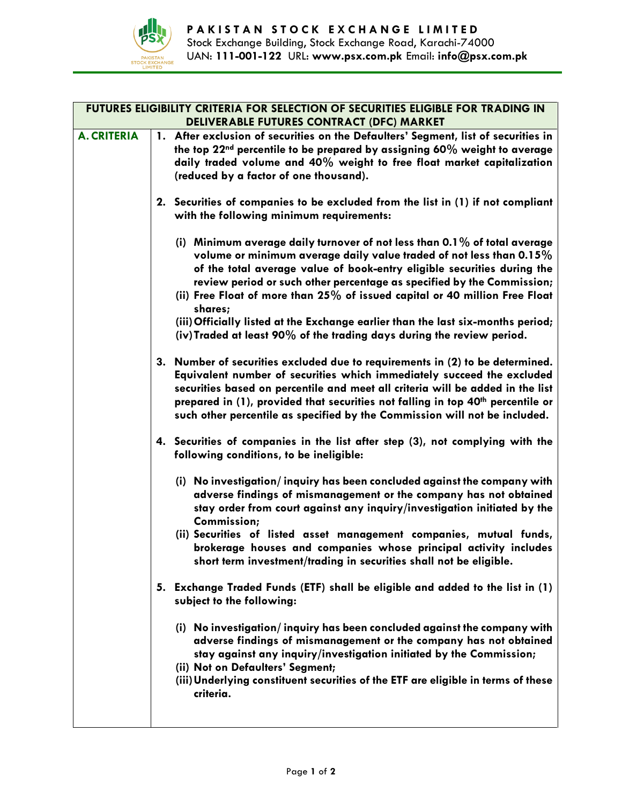

| FUTURES ELIGIBILITY CRITERIA FOR SELECTION OF SECURITIES ELIGIBLE FOR TRADING IN<br>DELIVERABLE FUTURES CONTRACT (DFC) MARKET |                                                                                                                                                                                                                                                                                                                                                                                                                        |
|-------------------------------------------------------------------------------------------------------------------------------|------------------------------------------------------------------------------------------------------------------------------------------------------------------------------------------------------------------------------------------------------------------------------------------------------------------------------------------------------------------------------------------------------------------------|
| <b>A. CRITERIA</b>                                                                                                            | 1. After exclusion of securities on the Defaulters' Segment, list of securities in<br>the top 22 <sup>nd</sup> percentile to be prepared by assigning 60% weight to average                                                                                                                                                                                                                                            |
|                                                                                                                               | daily traded volume and 40% weight to free float market capitalization                                                                                                                                                                                                                                                                                                                                                 |
|                                                                                                                               | (reduced by a factor of one thousand).                                                                                                                                                                                                                                                                                                                                                                                 |
|                                                                                                                               | 2. Securities of companies to be excluded from the list in (1) if not compliant<br>with the following minimum requirements:                                                                                                                                                                                                                                                                                            |
|                                                                                                                               | (i) Minimum average daily turnover of not less than $0.1\%$ of total average<br>volume or minimum average daily value traded of not less than 0.15%<br>of the total average value of book-entry eligible securities during the<br>review period or such other percentage as specified by the Commission;<br>(ii) Free Float of more than 25% of issued capital or 40 million Free Float<br>shares;                     |
|                                                                                                                               | (iii) Officially listed at the Exchange earlier than the last six-months period;<br>(iv) Traded at least 90% of the trading days during the review period.                                                                                                                                                                                                                                                             |
|                                                                                                                               | 3. Number of securities excluded due to requirements in (2) to be determined.<br>Equivalent number of securities which immediately succeed the excluded<br>securities based on percentile and meet all criteria will be added in the list<br>prepared in (1), provided that securities not falling in top 40 <sup>th</sup> percentile or<br>such other percentile as specified by the Commission will not be included. |
|                                                                                                                               | 4. Securities of companies in the list after step (3), not complying with the<br>following conditions, to be ineligible:                                                                                                                                                                                                                                                                                               |
|                                                                                                                               | (i) No investigation/inquiry has been concluded against the company with<br>adverse findings of mismanagement or the company has not obtained<br>stay order from court against any inquiry/investigation initiated by the<br>Commission;                                                                                                                                                                               |
|                                                                                                                               | (ii) Securities of listed asset management companies, mutual funds,<br>brokerage houses and companies whose principal activity includes<br>short term investment/trading in securities shall not be eligible.                                                                                                                                                                                                          |
|                                                                                                                               | 5. Exchange Traded Funds (ETF) shall be eligible and added to the list in (1)<br>subject to the following:                                                                                                                                                                                                                                                                                                             |
|                                                                                                                               | (i) No investigation/inquiry has been concluded against the company with<br>adverse findings of mismanagement or the company has not obtained<br>stay against any inquiry/investigation initiated by the Commission;<br>(ii) Not on Defaulters' Segment;<br>(iii) Underlying constituent securities of the ETF are eligible in terms of these<br>criteria.                                                             |
|                                                                                                                               |                                                                                                                                                                                                                                                                                                                                                                                                                        |

ı